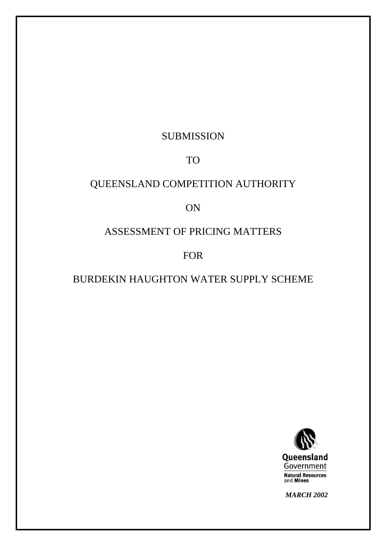## SUBMISSION

### TO

# QUEENSLAND COMPETITION AUTHORITY

## ON

## ASSESSMENT OF PRICING MATTERS

### FOR

# BURDEKIN HAUGHTON WATER SUPPLY SCHEME



*MARCH 2002*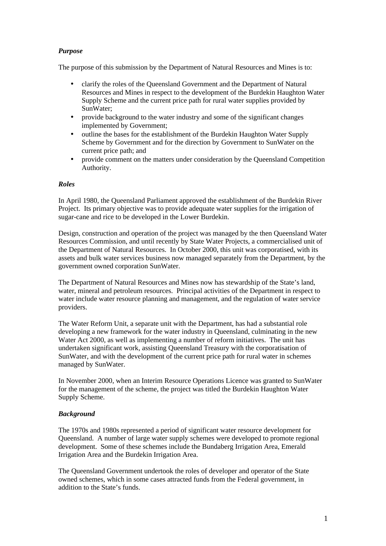### *Purpose*

The purpose of this submission by the Department of Natural Resources and Mines is to:

- clarify the roles of the Queensland Government and the Department of Natural Resources and Mines in respect to the development of the Burdekin Haughton Water Supply Scheme and the current price path for rural water supplies provided by SunWater;
- provide background to the water industry and some of the significant changes implemented by Government;
- outline the bases for the establishment of the Burdekin Haughton Water Supply Scheme by Government and for the direction by Government to SunWater on the current price path; and
- provide comment on the matters under consideration by the Queensland Competition Authority.

#### *Roles*

In April 1980, the Queensland Parliament approved the establishment of the Burdekin River Project. Its primary objective was to provide adequate water supplies for the irrigation of sugar-cane and rice to be developed in the Lower Burdekin.

Design, construction and operation of the project was managed by the then Queensland Water Resources Commission, and until recently by State Water Projects, a commercialised unit of the Department of Natural Resources. In October 2000, this unit was corporatised, with its assets and bulk water services business now managed separately from the Department, by the government owned corporation SunWater.

The Department of Natural Resources and Mines now has stewardship of the State's land, water, mineral and petroleum resources. Principal activities of the Department in respect to water include water resource planning and management, and the regulation of water service providers.

The Water Reform Unit, a separate unit with the Department, has had a substantial role developing a new framework for the water industry in Queensland, culminating in the new Water Act 2000, as well as implementing a number of reform initiatives. The unit has undertaken significant work, assisting Queensland Treasury with the corporatisation of SunWater, and with the development of the current price path for rural water in schemes managed by SunWater.

In November 2000, when an Interim Resource Operations Licence was granted to SunWater for the management of the scheme, the project was titled the Burdekin Haughton Water Supply Scheme.

### *Background*

The 1970s and 1980s represented a period of significant water resource development for Queensland. A number of large water supply schemes were developed to promote regional development. Some of these schemes include the Bundaberg Irrigation Area, Emerald Irrigation Area and the Burdekin Irrigation Area.

The Queensland Government undertook the roles of developer and operator of the State owned schemes, which in some cases attracted funds from the Federal government, in addition to the State's funds.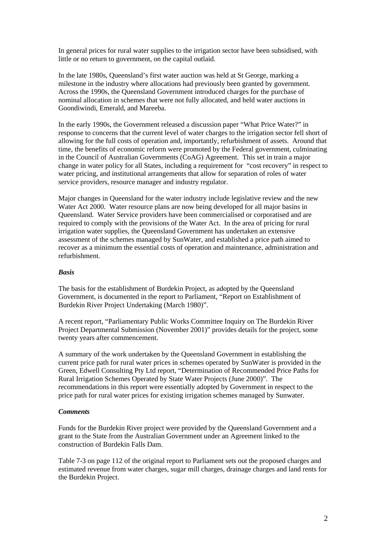In general prices for rural water supplies to the irrigation sector have been subsidised, with little or no return to government, on the capital outlaid.

In the late 1980s, Queensland's first water auction was held at St George, marking a milestone in the industry where allocations had previously been granted by government. Across the 1990s, the Queensland Government introduced charges for the purchase of nominal allocation in schemes that were not fully allocated, and held water auctions in Goondiwindi, Emerald, and Mareeba.

In the early 1990s, the Government released a discussion paper "What Price Water?" in response to concerns that the current level of water charges to the irrigation sector fell short of allowing for the full costs of operation and, importantly, refurbishment of assets. Around that time, the benefits of economic reform were promoted by the Federal government, culminating in the Council of Australian Governments (CoAG) Agreement. This set in train a major change in water policy for all States, including a requirement for "cost recovery" in respect to water pricing, and institutional arrangements that allow for separation of roles of water service providers, resource manager and industry regulator.

Major changes in Queensland for the water industry include legislative review and the new Water Act 2000. Water resource plans are now being developed for all major basins in Queensland. Water Service providers have been commercialised or corporatised and are required to comply with the provisions of the Water Act. In the area of pricing for rural irrigation water supplies, the Queensland Government has undertaken an extensive assessment of the schemes managed by SunWater, and established a price path aimed to recover as a minimum the essential costs of operation and maintenance, administration and refurbishment.

#### *Basis*

The basis for the establishment of Burdekin Project, as adopted by the Queensland Government, is documented in the report to Parliament, "Report on Establishment of Burdekin River Project Undertaking (March 1980)".

A recent report, "Parliamentary Public Works Committee Inquiry on The Burdekin River Project Departmental Submission (November 2001)" provides details for the project, some twenty years after commencement.

A summary of the work undertaken by the Queensland Government in establishing the current price path for rural water prices in schemes operated by SunWater is provided in the Green, Edwell Consulting Pty Ltd report, "Determination of Recommended Price Paths for Rural Irrigation Schemes Operated by State Water Projects (June 2000)". The recommendations in this report were essentially adopted by Government in respect to the price path for rural water prices for existing irrigation schemes managed by Sunwater.

#### *Comments*

Funds for the Burdekin River project were provided by the Queensland Government and a grant to the State from the Australian Government under an Agreement linked to the construction of Burdekin Falls Dam.

Table 7-3 on page 112 of the original report to Parliament sets out the proposed charges and estimated revenue from water charges, sugar mill charges, drainage charges and land rents for the Burdekin Project.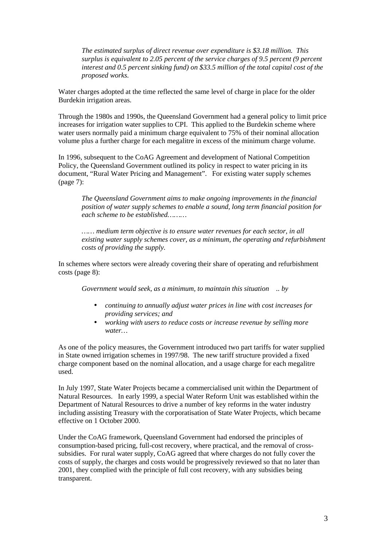*The estimated surplus of direct revenue over expenditure is \$3.18 million. This surplus is equivalent to 2.05 percent of the service charges of 9.5 percent (9 percent interest and 0.5 percent sinking fund) on \$33.5 million of the total capital cost of the proposed works.*

Water charges adopted at the time reflected the same level of charge in place for the older Burdekin irrigation areas.

Through the 1980s and 1990s, the Queensland Government had a general policy to limit price increases for irrigation water supplies to CPI. This applied to the Burdekin scheme where water users normally paid a minimum charge equivalent to 75% of their nominal allocation volume plus a further charge for each megalitre in excess of the minimum charge volume.

In 1996, subsequent to the CoAG Agreement and development of National Competition Policy, the Queensland Government outlined its policy in respect to water pricing in its document, "Rural Water Pricing and Management". For existing water supply schemes (page 7):

*The Queensland Government aims to make ongoing improvements in the financial position of water supply schemes to enable a sound, long term financial position for each scheme to be established………*

*…… medium term objective is to ensure water revenues for each sector, in all existing water supply schemes cover, as a minimum, the operating and refurbishment costs of providing the supply.*

In schemes where sectors were already covering their share of operating and refurbishment costs (page 8):

*Government would seek, as a minimum, to maintain this situation .. by*

- *continuing to annually adjust water prices in line with cost increases for providing services; and*
- *working with users to reduce costs or increase revenue by selling more water…*

As one of the policy measures, the Government introduced two part tariffs for water supplied in State owned irrigation schemes in 1997/98. The new tariff structure provided a fixed charge component based on the nominal allocation, and a usage charge for each megalitre used.

In July 1997, State Water Projects became a commercialised unit within the Department of Natural Resources. In early 1999, a special Water Reform Unit was established within the Department of Natural Resources to drive a number of key reforms in the water industry including assisting Treasury with the corporatisation of State Water Projects, which became effective on 1 October 2000.

Under the CoAG framework, Queensland Government had endorsed the principles of consumption-based pricing, full-cost recovery, where practical, and the removal of crosssubsidies. For rural water supply, CoAG agreed that where charges do not fully cover the costs of supply, the charges and costs would be progressively reviewed so that no later than 2001, they complied with the principle of full cost recovery, with any subsidies being transparent.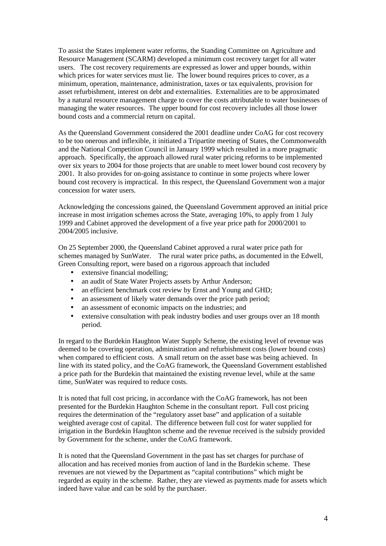To assist the States implement water reforms, the Standing Committee on Agriculture and Resource Management (SCARM) developed a minimum cost recovery target for all water users. The cost recovery requirements are expressed as lower and upper bounds, within which prices for water services must lie. The lower bound requires prices to cover, as a minimum, operation, maintenance, administration, taxes or tax equivalents, provision for asset refurbishment, interest on debt and externalities. Externalities are to be approximated by a natural resource management charge to cover the costs attributable to water businesses of managing the water resources. The upper bound for cost recovery includes all those lower bound costs and a commercial return on capital.

As the Queensland Government considered the 2001 deadline under CoAG for cost recovery to be too onerous and inflexible, it initiated a Tripartite meeting of States, the Commonwealth and the National Competition Council in January 1999 which resulted in a more pragmatic approach. Specifically, the approach allowed rural water pricing reforms to be implemented over six years to 2004 for those projects that are unable to meet lower bound cost recovery by 2001. It also provides for on-going assistance to continue in some projects where lower bound cost recovery is impractical. In this respect, the Queensland Government won a major concession for water users.

Acknowledging the concessions gained, the Queensland Government approved an initial price increase in most irrigation schemes across the State, averaging 10%, to apply from 1 July 1999 and Cabinet approved the development of a five year price path for 2000/2001 to 2004/2005 inclusive.

On 25 September 2000, the Queensland Cabinet approved a rural water price path for schemes managed by SunWater. The rural water price paths, as documented in the Edwell, Green Consulting report, were based on a rigorous approach that included

- extensive financial modelling;
- an audit of State Water Projects assets by Arthur Anderson;
- an efficient benchmark cost review by Ernst and Young and GHD;
- an assessment of likely water demands over the price path period;
- an assessment of economic impacts on the industries; and
- extensive consultation with peak industry bodies and user groups over an 18 month period.

In regard to the Burdekin Haughton Water Supply Scheme, the existing level of revenue was deemed to be covering operation, administration and refurbishment costs (lower bound costs) when compared to efficient costs. A small return on the asset base was being achieved. In line with its stated policy, and the CoAG framework, the Queensland Government established a price path for the Burdekin that maintained the existing revenue level, while at the same time, SunWater was required to reduce costs.

It is noted that full cost pricing, in accordance with the CoAG framework, has not been presented for the Burdekin Haughton Scheme in the consultant report. Full cost pricing requires the determination of the "regulatory asset base" and application of a suitable weighted average cost of capital. The difference between full cost for water supplied for irrigation in the Burdekin Haughton scheme and the revenue received is the subsidy provided by Government for the scheme, under the CoAG framework.

It is noted that the Queensland Government in the past has set charges for purchase of allocation and has received monies from auction of land in the Burdekin scheme. These revenues are not viewed by the Department as "capital contributions" which might be regarded as equity in the scheme. Rather, they are viewed as payments made for assets which indeed have value and can be sold by the purchaser.